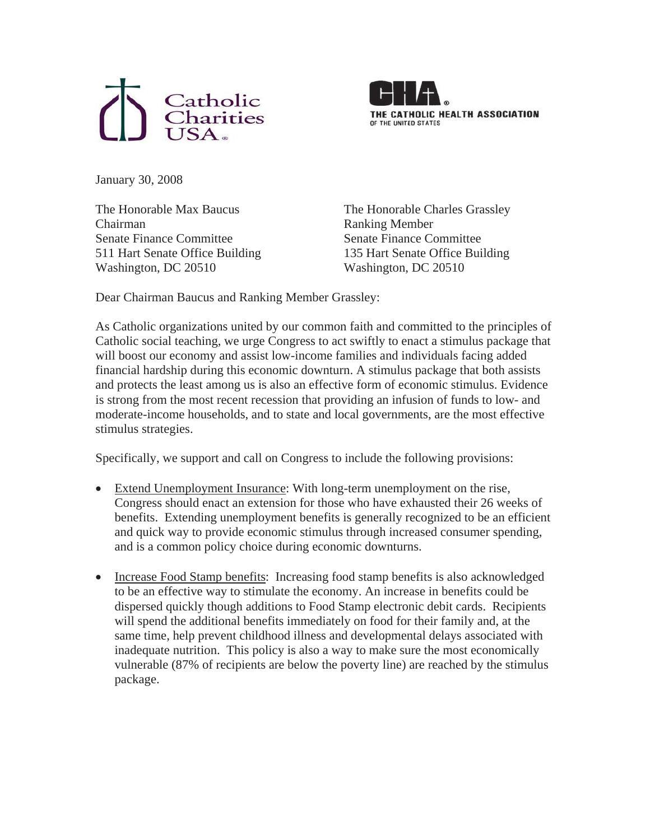



January 30, 2008

The Honorable Max Baucus Chairman Senate Finance Committee 511 Hart Senate Office Building Washington, DC 20510

The Honorable Charles Grassley Ranking Member Senate Finance Committee 135 Hart Senate Office Building Washington, DC 20510

Dear Chairman Baucus and Ranking Member Grassley:

As Catholic organizations united by our common faith and committed to the principles of Catholic social teaching, we urge Congress to act swiftly to enact a stimulus package that will boost our economy and assist low-income families and individuals facing added financial hardship during this economic downturn. A stimulus package that both assists and protects the least among us is also an effective form of economic stimulus. Evidence is strong from the most recent recession that providing an infusion of funds to low- and moderate-income households, and to state and local governments, are the most effective stimulus strategies.

Specifically, we support and call on Congress to include the following provisions:

- Extend Unemployment Insurance: With long-term unemployment on the rise, Congress should enact an extension for those who have exhausted their 26 weeks of benefits. Extending unemployment benefits is generally recognized to be an efficient and quick way to provide economic stimulus through increased consumer spending, and is a common policy choice during economic downturns.
- Increase Food Stamp benefits: Increasing food stamp benefits is also acknowledged to be an effective way to stimulate the economy. An increase in benefits could be dispersed quickly though additions to Food Stamp electronic debit cards. Recipients will spend the additional benefits immediately on food for their family and, at the same time, help prevent childhood illness and developmental delays associated with inadequate nutrition. This policy is also a way to make sure the most economically vulnerable (87% of recipients are below the poverty line) are reached by the stimulus package.